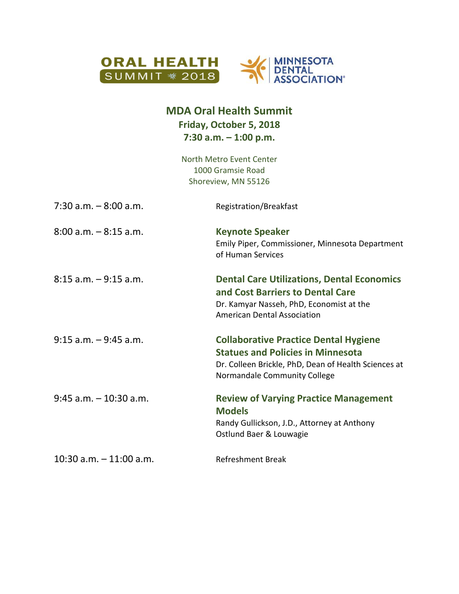

## **MDA Oral Health Summit Friday, October 5, 2018 7:30 a.m. – 1:00 p.m.**

North Metro Event Center 1000 Gramsie Road Shoreview, MN 55126

| $7:30$ a.m. $-8:00$ a.m.   | Registration/Breakfast                                                                                                                                                           |
|----------------------------|----------------------------------------------------------------------------------------------------------------------------------------------------------------------------------|
| $8:00$ a.m. $-8:15$ a.m.   | <b>Keynote Speaker</b><br>Emily Piper, Commissioner, Minnesota Department<br>of Human Services                                                                                   |
| $8:15$ a.m. $-9:15$ a.m.   | <b>Dental Care Utilizations, Dental Economics</b><br>and Cost Barriers to Dental Care<br>Dr. Kamyar Nasseh, PhD, Economist at the<br><b>American Dental Association</b>          |
| $9:15$ a.m. $-9:45$ a.m.   | <b>Collaborative Practice Dental Hygiene</b><br><b>Statues and Policies in Minnesota</b><br>Dr. Colleen Brickle, PhD, Dean of Health Sciences at<br>Normandale Community College |
| $9:45$ a.m. $-10:30$ a.m.  | <b>Review of Varying Practice Management</b><br><b>Models</b><br>Randy Gullickson, J.D., Attorney at Anthony<br>Ostlund Baer & Louwagie                                          |
| $10:30$ a.m. $-11:00$ a.m. | <b>Refreshment Break</b>                                                                                                                                                         |